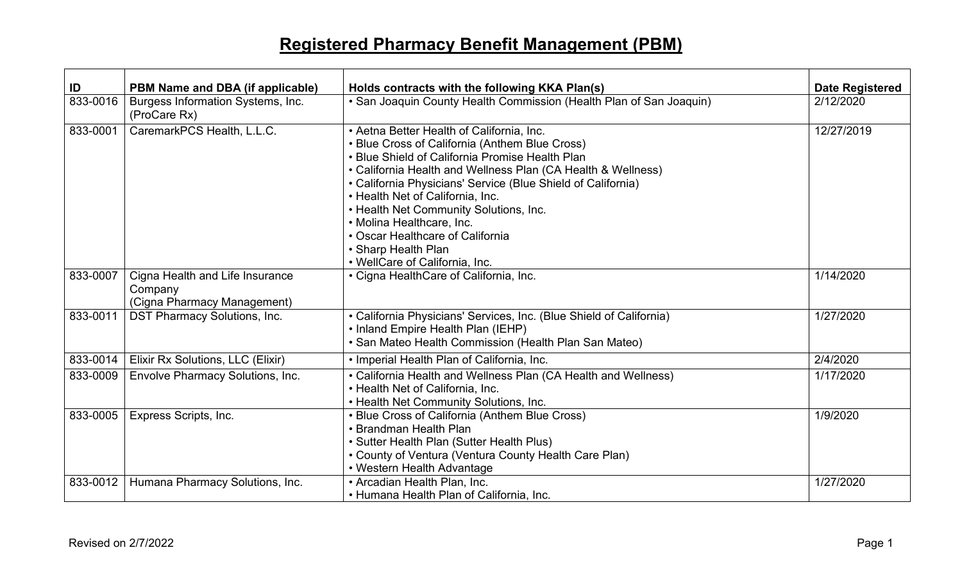## **Registered Pharmacy Benefit Management (PBM)**

| ID       | PBM Name and DBA (if applicable)                                          | Holds contracts with the following KKA Plan(s)                                                                                                                                                                                                                                                                                                                                                                                                                                         | <b>Date Registered</b> |
|----------|---------------------------------------------------------------------------|----------------------------------------------------------------------------------------------------------------------------------------------------------------------------------------------------------------------------------------------------------------------------------------------------------------------------------------------------------------------------------------------------------------------------------------------------------------------------------------|------------------------|
| 833-0016 | Burgess Information Systems, Inc.<br>(ProCare Rx)                         | • San Joaquin County Health Commission (Health Plan of San Joaquin)                                                                                                                                                                                                                                                                                                                                                                                                                    | 2/12/2020              |
| 833-0001 | CaremarkPCS Health, L.L.C.                                                | • Aetna Better Health of California, Inc.<br>• Blue Cross of California (Anthem Blue Cross)<br>• Blue Shield of California Promise Health Plan<br>• California Health and Wellness Plan (CA Health & Wellness)<br>• California Physicians' Service (Blue Shield of California)<br>• Health Net of California, Inc.<br>• Health Net Community Solutions, Inc.<br>• Molina Healthcare, Inc.<br>• Oscar Healthcare of California<br>• Sharp Health Plan<br>• WellCare of California, Inc. | 12/27/2019             |
| 833-0007 | Cigna Health and Life Insurance<br>Company<br>(Cigna Pharmacy Management) | • Cigna HealthCare of California, Inc.                                                                                                                                                                                                                                                                                                                                                                                                                                                 | 1/14/2020              |
| 833-0011 | <b>DST Pharmacy Solutions, Inc.</b>                                       | • California Physicians' Services, Inc. (Blue Shield of California)<br>• Inland Empire Health Plan (IEHP)<br>• San Mateo Health Commission (Health Plan San Mateo)                                                                                                                                                                                                                                                                                                                     | 1/27/2020              |
| 833-0014 | Elixir Rx Solutions, LLC (Elixir)                                         | • Imperial Health Plan of California, Inc.                                                                                                                                                                                                                                                                                                                                                                                                                                             | 2/4/2020               |
| 833-0009 | Envolve Pharmacy Solutions, Inc.                                          | • California Health and Wellness Plan (CA Health and Wellness)<br>• Health Net of California, Inc.<br>• Health Net Community Solutions, Inc.                                                                                                                                                                                                                                                                                                                                           | 1/17/2020              |
| 833-0005 | Express Scripts, Inc.                                                     | • Blue Cross of California (Anthem Blue Cross)<br>• Brandman Health Plan<br>• Sutter Health Plan (Sutter Health Plus)<br>• County of Ventura (Ventura County Health Care Plan)<br>• Western Health Advantage                                                                                                                                                                                                                                                                           | 1/9/2020               |
| 833-0012 | Humana Pharmacy Solutions, Inc.                                           | • Arcadian Health Plan, Inc.<br>• Humana Health Plan of California, Inc.                                                                                                                                                                                                                                                                                                                                                                                                               | 1/27/2020              |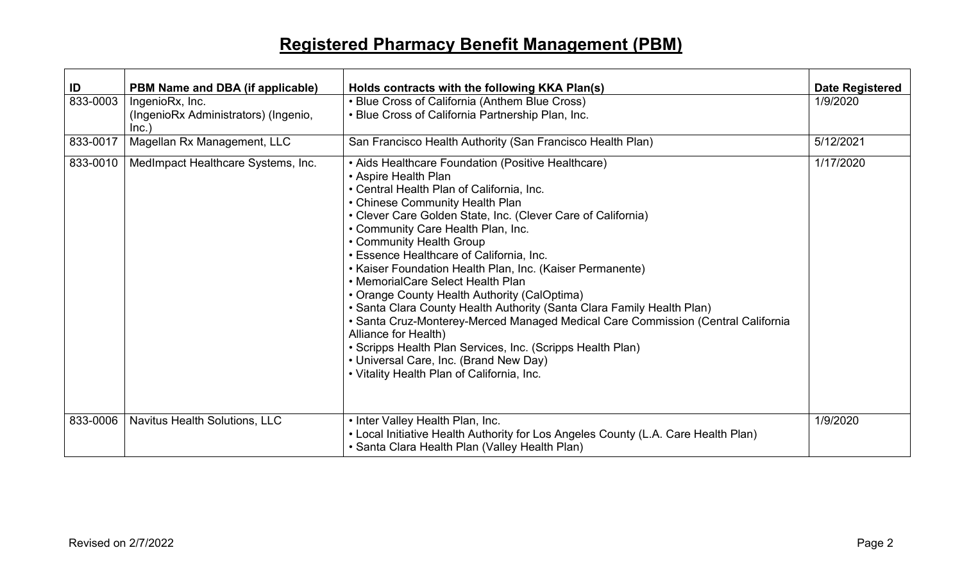## **Registered Pharmacy Benefit Management (PBM)**

| ID       | PBM Name and DBA (if applicable)                                | Holds contracts with the following KKA Plan(s)                                                                                                                                                                                                                                                                                                                                                                                                                                                                                                                                                                                                                                                                                                                                                                                         | <b>Date Registered</b> |
|----------|-----------------------------------------------------------------|----------------------------------------------------------------------------------------------------------------------------------------------------------------------------------------------------------------------------------------------------------------------------------------------------------------------------------------------------------------------------------------------------------------------------------------------------------------------------------------------------------------------------------------------------------------------------------------------------------------------------------------------------------------------------------------------------------------------------------------------------------------------------------------------------------------------------------------|------------------------|
| 833-0003 | IngenioRx, Inc.<br>(IngenioRx Administrators) (Ingenio,<br>Inc. | • Blue Cross of California (Anthem Blue Cross)<br>• Blue Cross of California Partnership Plan, Inc.                                                                                                                                                                                                                                                                                                                                                                                                                                                                                                                                                                                                                                                                                                                                    | 1/9/2020               |
| 833-0017 | Magellan Rx Management, LLC                                     | San Francisco Health Authority (San Francisco Health Plan)                                                                                                                                                                                                                                                                                                                                                                                                                                                                                                                                                                                                                                                                                                                                                                             | 5/12/2021              |
| 833-0010 | MedImpact Healthcare Systems, Inc.                              | • Aids Healthcare Foundation (Positive Healthcare)<br>• Aspire Health Plan<br>• Central Health Plan of California, Inc.<br>• Chinese Community Health Plan<br>• Clever Care Golden State, Inc. (Clever Care of California)<br>• Community Care Health Plan, Inc.<br>• Community Health Group<br>• Essence Healthcare of California, Inc.<br>• Kaiser Foundation Health Plan, Inc. (Kaiser Permanente)<br>• MemorialCare Select Health Plan<br>• Orange County Health Authority (CalOptima)<br>• Santa Clara County Health Authority (Santa Clara Family Health Plan)<br>• Santa Cruz-Monterey-Merced Managed Medical Care Commission (Central California<br>Alliance for Health)<br>• Scripps Health Plan Services, Inc. (Scripps Health Plan)<br>• Universal Care, Inc. (Brand New Day)<br>• Vitality Health Plan of California, Inc. | 1/17/2020              |
| 833-0006 | Navitus Health Solutions, LLC                                   | • Inter Valley Health Plan, Inc.<br>• Local Initiative Health Authority for Los Angeles County (L.A. Care Health Plan)<br>• Santa Clara Health Plan (Valley Health Plan)                                                                                                                                                                                                                                                                                                                                                                                                                                                                                                                                                                                                                                                               | 1/9/2020               |